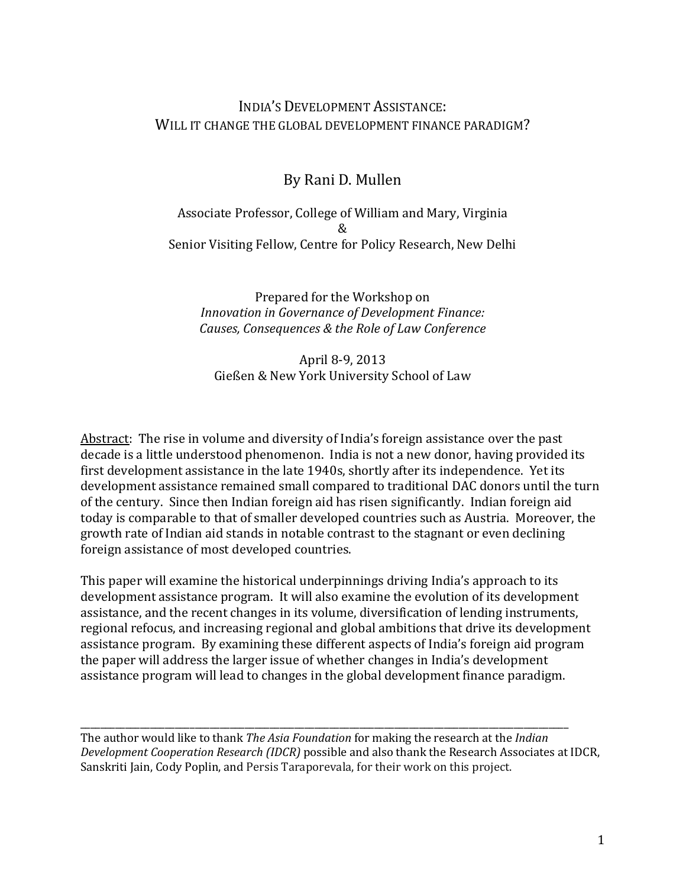# INDIA'S DEVELOPMENT ASSISTANCE: WILL IT CHANGE THE GLOBAL DEVELOPMENT FINANCE PARADIGM?

# By Rani D. Mullen

# Associate Professor, College of William and Mary, Virginia & Senior Visiting Fellow, Centre for Policy Research, New Delhi

Prepared for the Workshop on *Innovation in Governance of Development Finance: Causes, Consequences & the Role of Law Conference*

# April 8-9, 2013 Gießen & New York University School of Law

Abstract: The rise in volume and diversity of India's foreign assistance over the past decade is a little understood phenomenon. India is not a new donor, having provided its first development assistance in the late 1940s, shortly after its independence. Yet its development assistance remained small compared to traditional DAC donors until the turn of the century. Since then Indian foreign aid has risen significantly. Indian foreign aid today is comparable to that of smaller developed countries such as Austria. Moreover, the growth rate of Indian aid stands in notable contrast to the stagnant or even declining foreign assistance of most developed countries.

This paper will examine the historical underpinnings driving India's approach to its development assistance program. It will also examine the evolution of its development assistance, and the recent changes in its volume, diversification of lending instruments, regional refocus, and increasing regional and global ambitions that drive its development assistance program. By examining these different aspects of India's foreign aid program the paper will address the larger issue of whether changes in India's development assistance program will lead to changes in the global development finance paradigm.

\_\_\_\_\_\_\_\_\_\_\_\_\_\_\_\_\_\_\_\_\_\_\_\_\_\_\_\_\_\_\_\_\_\_\_\_\_\_\_\_\_\_\_\_\_\_\_\_\_\_\_\_\_\_\_\_\_\_\_\_\_\_\_\_\_\_\_\_\_\_\_\_\_\_\_\_\_\_\_\_\_\_\_\_\_\_\_\_\_\_\_\_\_\_\_\_\_\_ The author would like to thank *The Asia Foundation* for making the research at the *Indian Development Cooperation Research (IDCR)* possible and also thank the Research Associates at IDCR, Sanskriti Jain, Cody Poplin, and Persis Taraporevala, for their work on this project.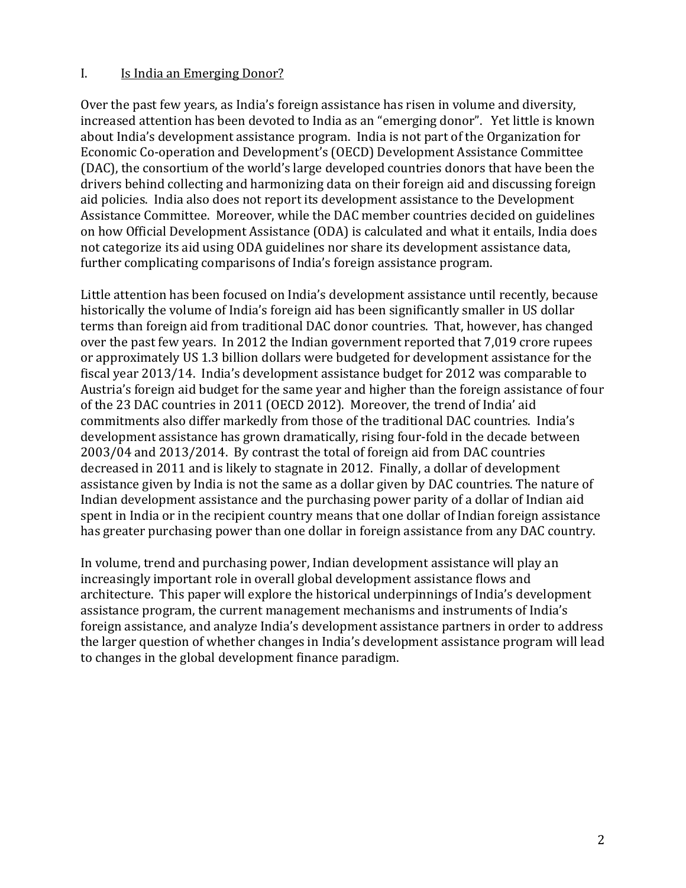#### I. Is India an Emerging Donor?

Over the past few years, as India's foreign assistance has risen in volume and diversity, increased attention has been devoted to India as an "emerging donor". Yet little is known about India's development assistance program. India is not part of the Organization for Economic Co-operation and Development's (OECD) Development Assistance Committee (DAC), the consortium of the world's large developed countries donors that have been the drivers behind collecting and harmonizing data on their foreign aid and discussing foreign aid policies. India also does not report its development assistance to the Development Assistance Committee. Moreover, while the DAC member countries decided on guidelines on how Official Development Assistance (ODA) is calculated and what it entails, India does not categorize its aid using ODA guidelines nor share its development assistance data, further complicating comparisons of India's foreign assistance program.

Little attention has been focused on India's development assistance until recently, because historically the volume of India's foreign aid has been significantly smaller in US dollar terms than foreign aid from traditional DAC donor countries. That, however, has changed over the past few years. In 2012 the Indian government reported that 7,019 crore rupees or approximately US 1.3 billion dollars were budgeted for development assistance for the fiscal year 2013/14. India's development assistance budget for 2012 was comparable to Austria's foreign aid budget for the same year and higher than the foreign assistance of four of the 23 DAC countries in 2011 (OECD 2012). Moreover, the trend of India' aid commitments also differ markedly from those of the traditional DAC countries. India's development assistance has grown dramatically, rising four-fold in the decade between 2003/04 and 2013/2014. By contrast the total of foreign aid from DAC countries decreased in 2011 and is likely to stagnate in 2012. Finally, a dollar of development assistance given by India is not the same as a dollar given by DAC countries. The nature of Indian development assistance and the purchasing power parity of a dollar of Indian aid spent in India or in the recipient country means that one dollar of Indian foreign assistance has greater purchasing power than one dollar in foreign assistance from any DAC country.

In volume, trend and purchasing power, Indian development assistance will play an increasingly important role in overall global development assistance flows and architecture. This paper will explore the historical underpinnings of India's development assistance program, the current management mechanisms and instruments of India's foreign assistance, and analyze India's development assistance partners in order to address the larger question of whether changes in India's development assistance program will lead to changes in the global development finance paradigm.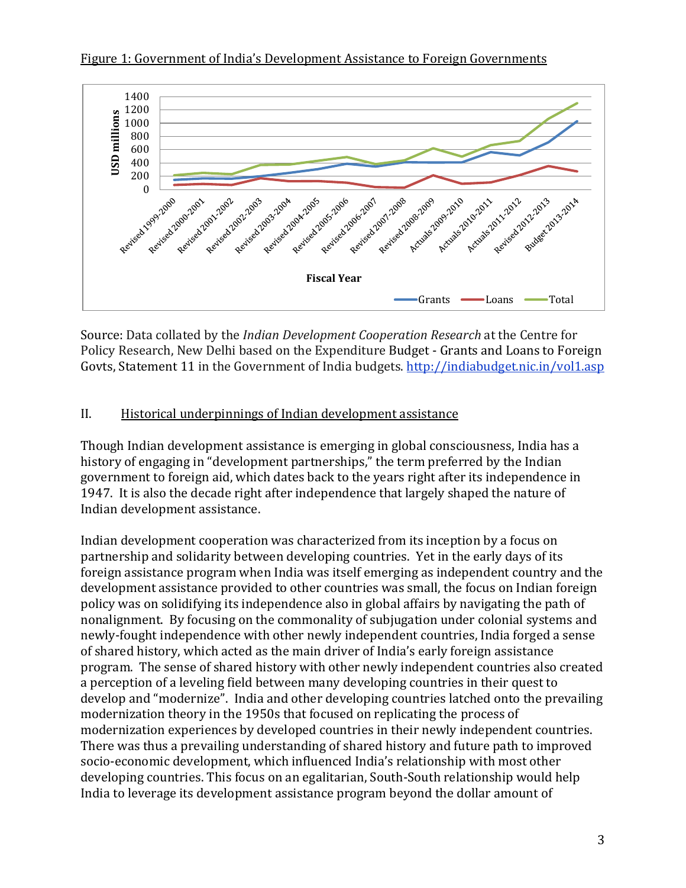



Source: Data collated by the *Indian Development Cooperation Research* at the Centre for Policy Research, New Delhi based on the Expenditure Budget - Grants and Loans to Foreign Govts, Statement 11 in the Government of India budgets.<http://indiabudget.nic.in/vol1.asp>

# II. Historical underpinnings of Indian development assistance

Though Indian development assistance is emerging in global consciousness, India has a history of engaging in "development partnerships," the term preferred by the Indian government to foreign aid, which dates back to the years right after its independence in 1947. It is also the decade right after independence that largely shaped the nature of Indian development assistance.

Indian development cooperation was characterized from its inception by a focus on partnership and solidarity between developing countries. Yet in the early days of its foreign assistance program when India was itself emerging as independent country and the development assistance provided to other countries was small, the focus on Indian foreign policy was on solidifying its independence also in global affairs by navigating the path of nonalignment. By focusing on the commonality of subjugation under colonial systems and newly-fought independence with other newly independent countries, India forged a sense of shared history, which acted as the main driver of India's early foreign assistance program. The sense of shared history with other newly independent countries also created a perception of a leveling field between many developing countries in their quest to develop and "modernize". India and other developing countries latched onto the prevailing modernization theory in the 1950s that focused on replicating the process of modernization experiences by developed countries in their newly independent countries. There was thus a prevailing understanding of shared history and future path to improved socio-economic development, which influenced India's relationship with most other developing countries. This focus on an egalitarian, South-South relationship would help India to leverage its development assistance program beyond the dollar amount of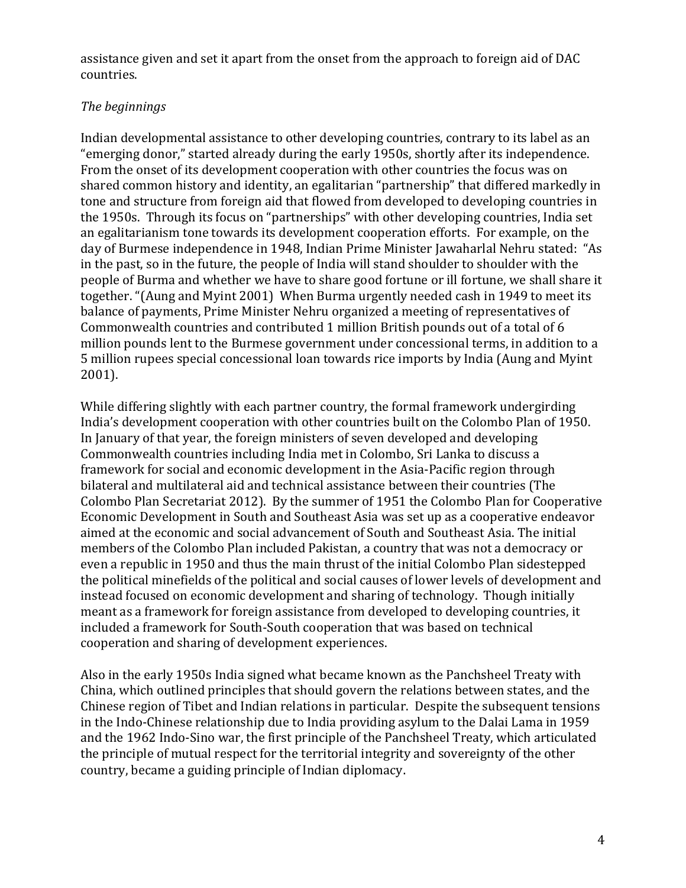assistance given and set it apart from the onset from the approach to foreign aid of DAC countries.

# *The beginnings*

Indian developmental assistance to other developing countries, contrary to its label as an "emerging donor," started already during the early 1950s, shortly after its independence. From the onset of its development cooperation with other countries the focus was on shared common history and identity, an egalitarian "partnership" that differed markedly in tone and structure from foreign aid that flowed from developed to developing countries in the 1950s. Through its focus on "partnerships" with other developing countries, India set an egalitarianism tone towards its development cooperation efforts. For example, on the day of Burmese independence in 1948, Indian Prime Minister Jawaharlal Nehru stated: "As in the past, so in the future, the people of India will stand shoulder to shoulder with the people of Burma and whether we have to share good fortune or ill fortune, we shall share it together. "(Aung and Myint 2001) When Burma urgently needed cash in 1949 to meet its balance of payments, Prime Minister Nehru organized a meeting of representatives of Commonwealth countries and contributed 1 million British pounds out of a total of 6 million pounds lent to the Burmese government under concessional terms, in addition to a 5 million rupees special concessional loan towards rice imports by India (Aung and Myint 2001).

While differing slightly with each partner country, the formal framework undergirding India's development cooperation with other countries built on the Colombo Plan of 1950. In January of that year, the foreign ministers of seven developed and developing Commonwealth countries including India met in Colombo, Sri Lanka to discuss a framework for social and economic development in the Asia-Pacific region through bilateral and multilateral aid and technical assistance between their countries (The Colombo Plan Secretariat 2012). By the summer of 1951 the Colombo Plan for Cooperative Economic Development in South and Southeast Asia was set up as a cooperative endeavor aimed at the economic and social advancement of South and Southeast Asia. The initial members of the Colombo Plan included Pakistan, a country that was not a democracy or even a republic in 1950 and thus the main thrust of the initial Colombo Plan sidestepped the political minefields of the political and social causes of lower levels of development and instead focused on economic development and sharing of technology. Though initially meant as a framework for foreign assistance from developed to developing countries, it included a framework for South-South cooperation that was based on technical cooperation and sharing of development experiences.

Also in the early 1950s India signed what became known as the Panchsheel Treaty with China, which outlined principles that should govern the relations between states, and the Chinese region of Tibet and Indian relations in particular. Despite the subsequent tensions in the Indo-Chinese relationship due to India providing asylum to the Dalai Lama in 1959 and the 1962 Indo-Sino war, the first principle of the Panchsheel Treaty, which articulated the principle of mutual respect for the territorial integrity and sovereignty of the other country, became a guiding principle of Indian diplomacy.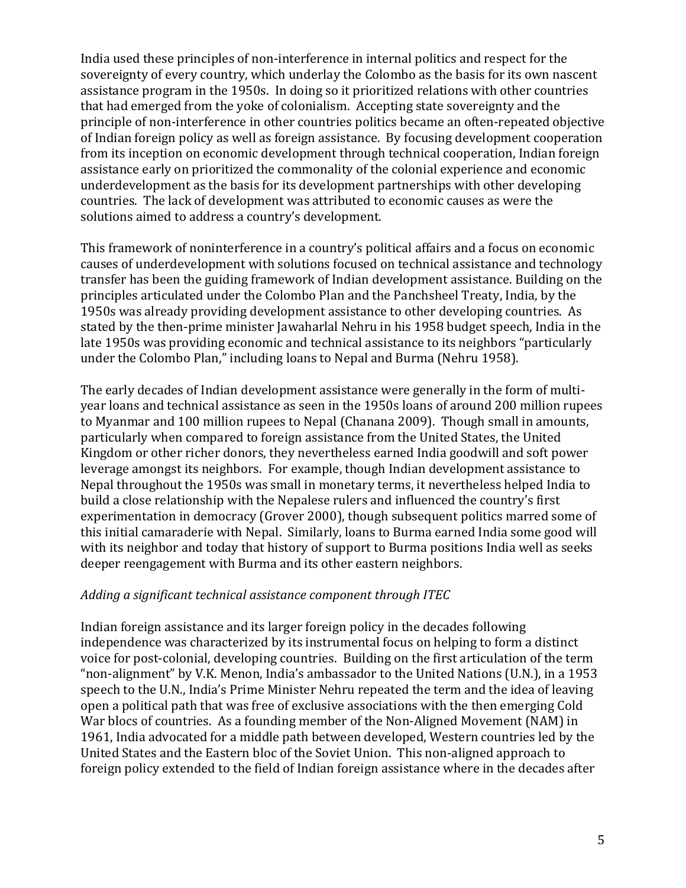India used these principles of non-interference in internal politics and respect for the sovereignty of every country, which underlay the Colombo as the basis for its own nascent assistance program in the 1950s. In doing so it prioritized relations with other countries that had emerged from the yoke of colonialism. Accepting state sovereignty and the principle of non-interference in other countries politics became an often-repeated objective of Indian foreign policy as well as foreign assistance. By focusing development cooperation from its inception on economic development through technical cooperation, Indian foreign assistance early on prioritized the commonality of the colonial experience and economic underdevelopment as the basis for its development partnerships with other developing countries. The lack of development was attributed to economic causes as were the solutions aimed to address a country's development.

This framework of noninterference in a country's political affairs and a focus on economic causes of underdevelopment with solutions focused on technical assistance and technology transfer has been the guiding framework of Indian development assistance. Building on the principles articulated under the Colombo Plan and the Panchsheel Treaty, India, by the 1950s was already providing development assistance to other developing countries. As stated by the then-prime minister Jawaharlal Nehru in his 1958 budget speech, India in the late 1950s was providing economic and technical assistance to its neighbors "particularly under the Colombo Plan," including loans to Nepal and Burma (Nehru 1958).

The early decades of Indian development assistance were generally in the form of multiyear loans and technical assistance as seen in the 1950s loans of around 200 million rupees to Myanmar and 100 million rupees to Nepal (Chanana 2009). Though small in amounts, particularly when compared to foreign assistance from the United States, the United Kingdom or other richer donors, they nevertheless earned India goodwill and soft power leverage amongst its neighbors. For example, though Indian development assistance to Nepal throughout the 1950s was small in monetary terms, it nevertheless helped India to build a close relationship with the Nepalese rulers and influenced the country's first experimentation in democracy (Grover 2000), though subsequent politics marred some of this initial camaraderie with Nepal. Similarly, loans to Burma earned India some good will with its neighbor and today that history of support to Burma positions India well as seeks deeper reengagement with Burma and its other eastern neighbors.

#### *Adding a significant technical assistance component through ITEC*

Indian foreign assistance and its larger foreign policy in the decades following independence was characterized by its instrumental focus on helping to form a distinct voice for post-colonial, developing countries. Building on the first articulation of the term "non-alignment" by V.K. Menon, India's ambassador to the United Nations (U.N.), in a 1953 speech to the U.N., India's Prime Minister Nehru repeated the term and the idea of leaving open a political path that was free of exclusive associations with the then emerging Cold War blocs of countries. As a founding member of the Non-Aligned Movement (NAM) in 1961, India advocated for a middle path between developed, Western countries led by the United States and the Eastern bloc of the Soviet Union. This non-aligned approach to foreign policy extended to the field of Indian foreign assistance where in the decades after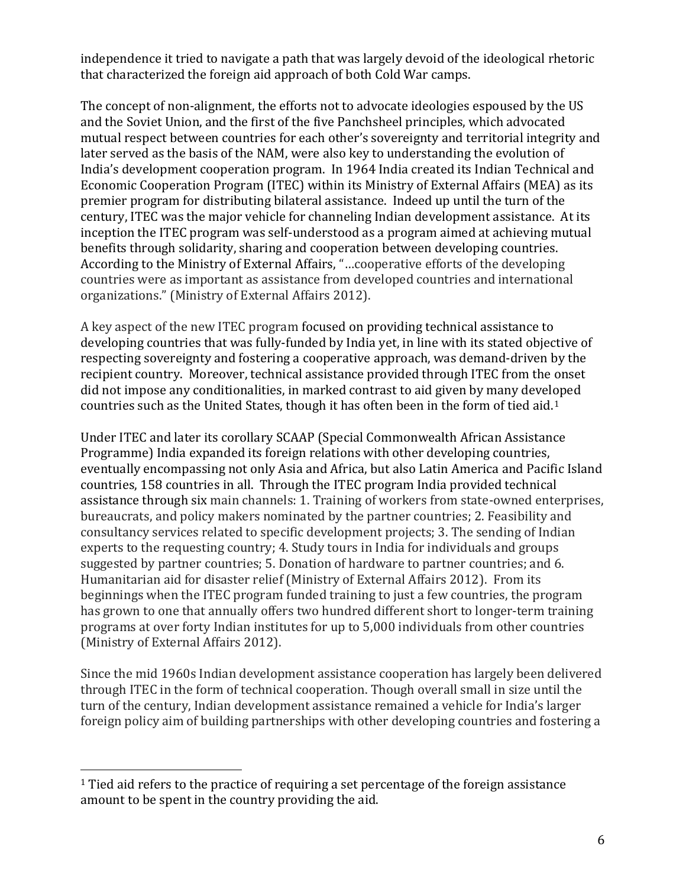independence it tried to navigate a path that was largely devoid of the ideological rhetoric that characterized the foreign aid approach of both Cold War camps.

The concept of non-alignment, the efforts not to advocate ideologies espoused by the US and the Soviet Union, and the first of the five Panchsheel principles, which advocated mutual respect between countries for each other's sovereignty and territorial integrity and later served as the basis of the NAM, were also key to understanding the evolution of India's development cooperation program. In 1964 India created its Indian Technical and Economic Cooperation Program (ITEC) within its Ministry of External Affairs (MEA) as its premier program for distributing bilateral assistance. Indeed up until the turn of the century, ITEC was the major vehicle for channeling Indian development assistance. At its inception the ITEC program was self-understood as a program aimed at achieving mutual benefits through solidarity, sharing and cooperation between developing countries. According to the Ministry of External Affairs, "…cooperative efforts of the developing countries were as important as assistance from developed countries and international organizations." (Ministry of External Affairs 2012).

A key aspect of the new ITEC program focused on providing technical assistance to developing countries that was fully-funded by India yet, in line with its stated objective of respecting sovereignty and fostering a cooperative approach, was demand-driven by the recipient country. Moreover, technical assistance provided through ITEC from the onset did not impose any conditionalities, in marked contrast to aid given by many developed countries such as the United States, though it has often been in the form of tied aid.[1](#page-5-0)

Under ITEC and later its corollary SCAAP (Special Commonwealth African Assistance Programme) India expanded its foreign relations with other developing countries, eventually encompassing not only Asia and Africa, but also Latin America and Pacific Island countries, 158 countries in all. Through the ITEC program India provided technical assistance through six main channels: 1. Training of workers from state-owned enterprises, bureaucrats, and policy makers nominated by the partner countries; 2. Feasibility and consultancy services related to specific development projects; 3. The sending of Indian experts to the requesting country; 4. Study tours in India for individuals and groups suggested by partner countries; 5. Donation of hardware to partner countries; and 6. Humanitarian aid for disaster relief (Ministry of External Affairs 2012). From its beginnings when the ITEC program funded training to just a few countries, the program has grown to one that annually offers two hundred different short to longer-term training programs at over forty Indian institutes for up to 5,000 individuals from other countries (Ministry of External Affairs 2012).

Since the mid 1960s Indian development assistance cooperation has largely been delivered through ITEC in the form of technical cooperation. Though overall small in size until the turn of the century, Indian development assistance remained a vehicle for India's larger foreign policy aim of building partnerships with other developing countries and fostering a

<span id="page-5-0"></span><sup>&</sup>lt;sup>1</sup> Tied aid refers to the practice of requiring a set percentage of the foreign assistance amount to be spent in the country providing the aid.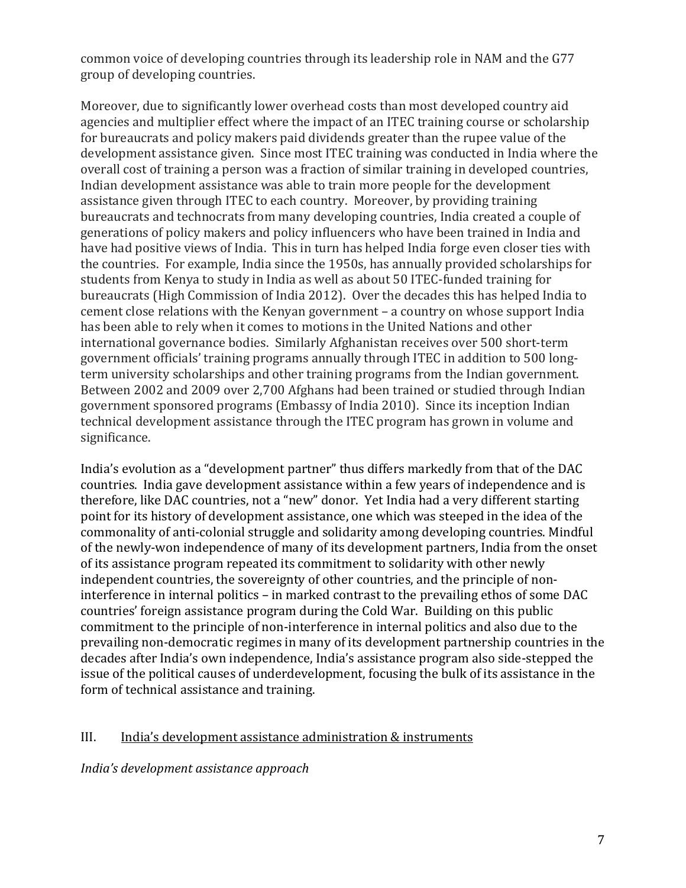common voice of developing countries through its leadership role in NAM and the G77 group of developing countries.

Moreover, due to significantly lower overhead costs than most developed country aid agencies and multiplier effect where the impact of an ITEC training course or scholarship for bureaucrats and policy makers paid dividends greater than the rupee value of the development assistance given. Since most ITEC training was conducted in India where the overall cost of training a person was a fraction of similar training in developed countries, Indian development assistance was able to train more people for the development assistance given through ITEC to each country. Moreover, by providing training bureaucrats and technocrats from many developing countries, India created a couple of generations of policy makers and policy influencers who have been trained in India and have had positive views of India. This in turn has helped India forge even closer ties with the countries. For example, India since the 1950s, has annually provided scholarships for students from Kenya to study in India as well as about 50 ITEC-funded training for bureaucrats (High Commission of India 2012). Over the decades this has helped India to cement close relations with the Kenyan government – a country on whose support India has been able to rely when it comes to motions in the United Nations and other international governance bodies. Similarly Afghanistan receives over 500 short-term government officials' training programs annually through ITEC in addition to 500 longterm university scholarships and other training programs from the Indian government. Between 2002 and 2009 over 2,700 Afghans had been trained or studied through Indian government sponsored programs (Embassy of India 2010). Since its inception Indian technical development assistance through the ITEC program has grown in volume and significance.

India's evolution as a "development partner" thus differs markedly from that of the DAC countries. India gave development assistance within a few years of independence and is therefore, like DAC countries, not a "new" donor. Yet India had a very different starting point for its history of development assistance, one which was steeped in the idea of the commonality of anti-colonial struggle and solidarity among developing countries. Mindful of the newly-won independence of many of its development partners, India from the onset of its assistance program repeated its commitment to solidarity with other newly independent countries, the sovereignty of other countries, and the principle of noninterference in internal politics – in marked contrast to the prevailing ethos of some DAC countries' foreign assistance program during the Cold War. Building on this public commitment to the principle of non-interference in internal politics and also due to the prevailing non-democratic regimes in many of its development partnership countries in the decades after India's own independence, India's assistance program also side-stepped the issue of the political causes of underdevelopment, focusing the bulk of its assistance in the form of technical assistance and training.

#### III. India's development assistance administration & instruments

*India's development assistance approach*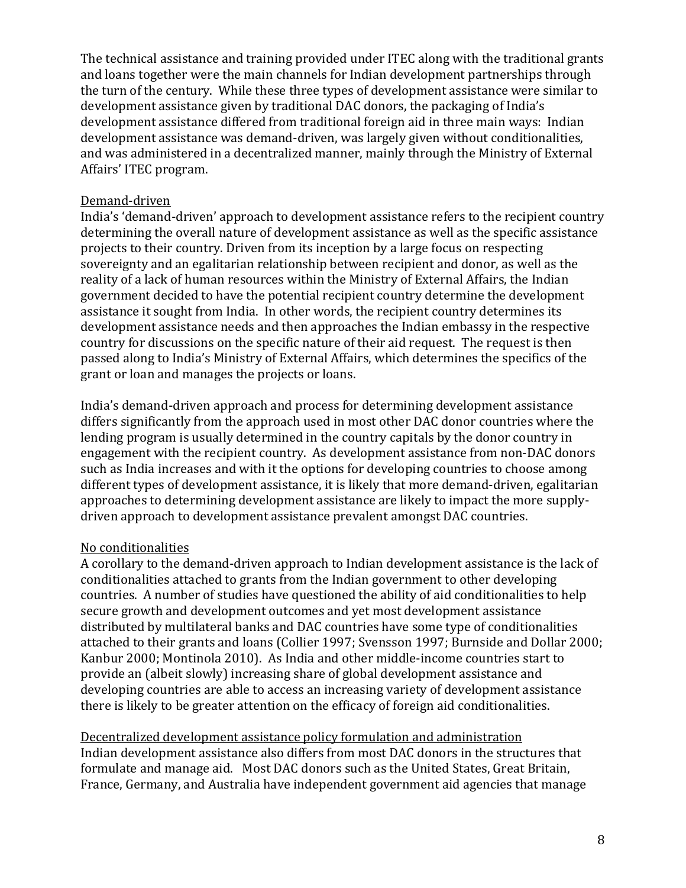The technical assistance and training provided under ITEC along with the traditional grants and loans together were the main channels for Indian development partnerships through the turn of the century. While these three types of development assistance were similar to development assistance given by traditional DAC donors, the packaging of India's development assistance differed from traditional foreign aid in three main ways: Indian development assistance was demand-driven, was largely given without conditionalities, and was administered in a decentralized manner, mainly through the Ministry of External Affairs' ITEC program.

#### Demand-driven

India's 'demand-driven' approach to development assistance refers to the recipient country determining the overall nature of development assistance as well as the specific assistance projects to their country. Driven from its inception by a large focus on respecting sovereignty and an egalitarian relationship between recipient and donor, as well as the reality of a lack of human resources within the Ministry of External Affairs, the Indian government decided to have the potential recipient country determine the development assistance it sought from India. In other words, the recipient country determines its development assistance needs and then approaches the Indian embassy in the respective country for discussions on the specific nature of their aid request. The request is then passed along to India's Ministry of External Affairs, which determines the specifics of the grant or loan and manages the projects or loans.

India's demand-driven approach and process for determining development assistance differs significantly from the approach used in most other DAC donor countries where the lending program is usually determined in the country capitals by the donor country in engagement with the recipient country. As development assistance from non-DAC donors such as India increases and with it the options for developing countries to choose among different types of development assistance, it is likely that more demand-driven, egalitarian approaches to determining development assistance are likely to impact the more supplydriven approach to development assistance prevalent amongst DAC countries.

#### No conditionalities

A corollary to the demand-driven approach to Indian development assistance is the lack of conditionalities attached to grants from the Indian government to other developing countries. A number of studies have questioned the ability of aid conditionalities to help secure growth and development outcomes and yet most development assistance distributed by multilateral banks and DAC countries have some type of conditionalities attached to their grants and loans (Collier 1997; Svensson 1997; Burnside and Dollar 2000; Kanbur 2000; Montinola 2010). As India and other middle-income countries start to provide an (albeit slowly) increasing share of global development assistance and developing countries are able to access an increasing variety of development assistance there is likely to be greater attention on the efficacy of foreign aid conditionalities.

Decentralized development assistance policy formulation and administration Indian development assistance also differs from most DAC donors in the structures that formulate and manage aid. Most DAC donors such as the United States, Great Britain, France, Germany, and Australia have independent government aid agencies that manage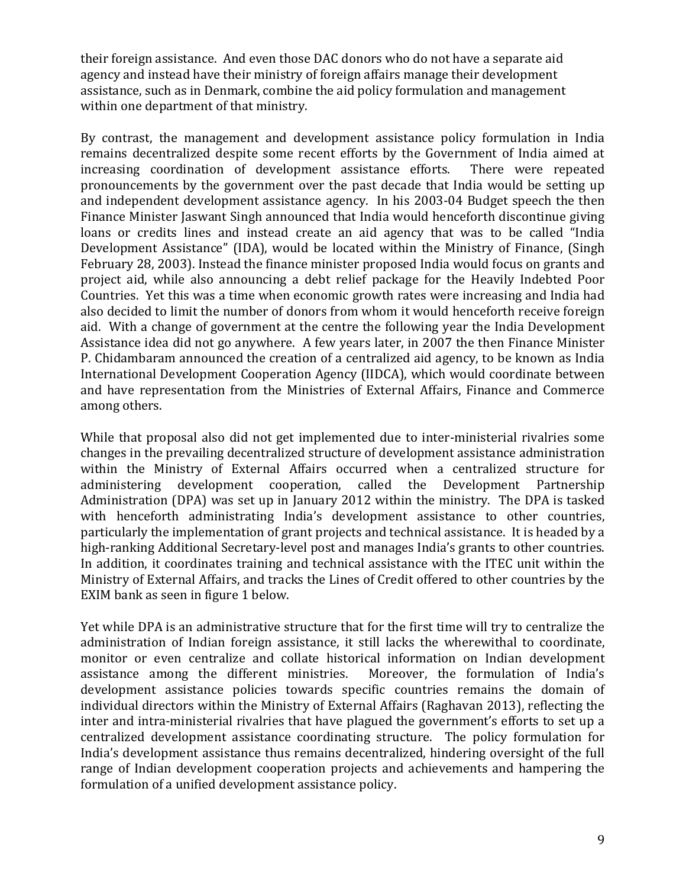their foreign assistance. And even those DAC donors who do not have a separate aid agency and instead have their ministry of foreign affairs manage their development assistance, such as in Denmark, combine the aid policy formulation and management within one department of that ministry.

By contrast, the management and development assistance policy formulation in India remains decentralized despite some recent efforts by the Government of India aimed at increasing coordination of development assistance efforts. There were repeated increasing coordination of development assistance efforts. pronouncements by the government over the past decade that India would be setting up and independent development assistance agency. In his 2003-04 Budget speech the then Finance Minister Jaswant Singh announced that India would henceforth discontinue giving loans or credits lines and instead create an aid agency that was to be called "India Development Assistance" (IDA), would be located within the Ministry of Finance, (Singh February 28, 2003). Instead the finance minister proposed India would focus on grants and project aid, while also announcing a debt relief package for the Heavily Indebted Poor Countries. Yet this was a time when economic growth rates were increasing and India had also decided to limit the number of donors from whom it would henceforth receive foreign aid. With a change of government at the centre the following year the India Development Assistance idea did not go anywhere. A few years later, in 2007 the then Finance Minister P. Chidambaram announced the creation of a centralized aid agency, to be known as India International Development Cooperation Agency (IIDCA), which would coordinate between and have representation from the Ministries of External Affairs, Finance and Commerce among others.

While that proposal also did not get implemented due to inter-ministerial rivalries some changes in the prevailing decentralized structure of development assistance administration within the Ministry of External Affairs occurred when a centralized structure for administering development cooperation, called the Development Partnership Administration (DPA) was set up in January 2012 within the ministry. The DPA is tasked with henceforth administrating India's development assistance to other countries, particularly the implementation of grant projects and technical assistance. It is headed by a high-ranking Additional Secretary-level post and manages India's grants to other countries. In addition, it coordinates training and technical assistance with the ITEC unit within the Ministry of External Affairs, and tracks the Lines of Credit offered to other countries by the EXIM bank as seen in figure 1 below.

Yet while DPA is an administrative structure that for the first time will try to centralize the administration of Indian foreign assistance, it still lacks the wherewithal to coordinate, monitor or even centralize and collate historical information on Indian development assistance among the different ministries. Moreover, the formulation of India's assistance among the different ministries. development assistance policies towards specific countries remains the domain of individual directors within the Ministry of External Affairs (Raghavan 2013), reflecting the inter and intra-ministerial rivalries that have plagued the government's efforts to set up a centralized development assistance coordinating structure. The policy formulation for India's development assistance thus remains decentralized, hindering oversight of the full range of Indian development cooperation projects and achievements and hampering the formulation of a unified development assistance policy.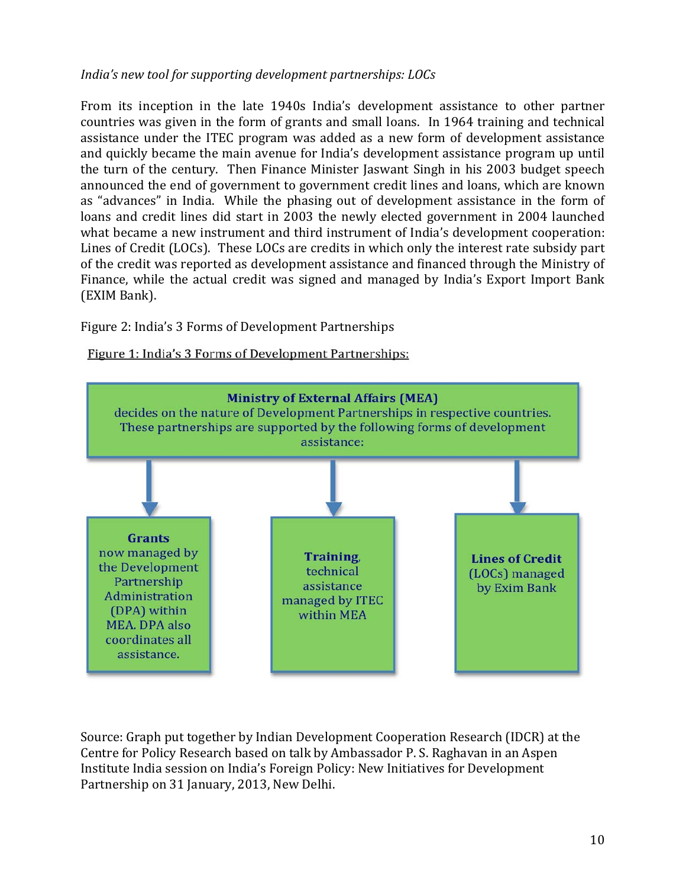## *India's new tool for supporting development partnerships: LOCs*

From its inception in the late 1940s India's development assistance to other partner countries was given in the form of grants and small loans. In 1964 training and technical assistance under the ITEC program was added as a new form of development assistance and quickly became the main avenue for India's development assistance program up until the turn of the century. Then Finance Minister Jaswant Singh in his 2003 budget speech announced the end of government to government credit lines and loans, which are known as "advances" in India. While the phasing out of development assistance in the form of loans and credit lines did start in 2003 the newly elected government in 2004 launched what became a new instrument and third instrument of India's development cooperation: Lines of Credit (LOCs). These LOCs are credits in which only the interest rate subsidy part of the credit was reported as development assistance and financed through the Ministry of Finance, while the actual credit was signed and managed by India's Export Import Bank (EXIM Bank).

#### Figure 2: India's 3 Forms of Development Partnerships

#### Figure 1: India's 3 Forms of Development Partnerships:



Source: Graph put together by Indian Development Cooperation Research (IDCR) at the Centre for Policy Research based on talk by Ambassador P. S. Raghavan in an Aspen Institute India session on India's Foreign Policy: New Initiatives for Development Partnership on 31 January, 2013, New Delhi.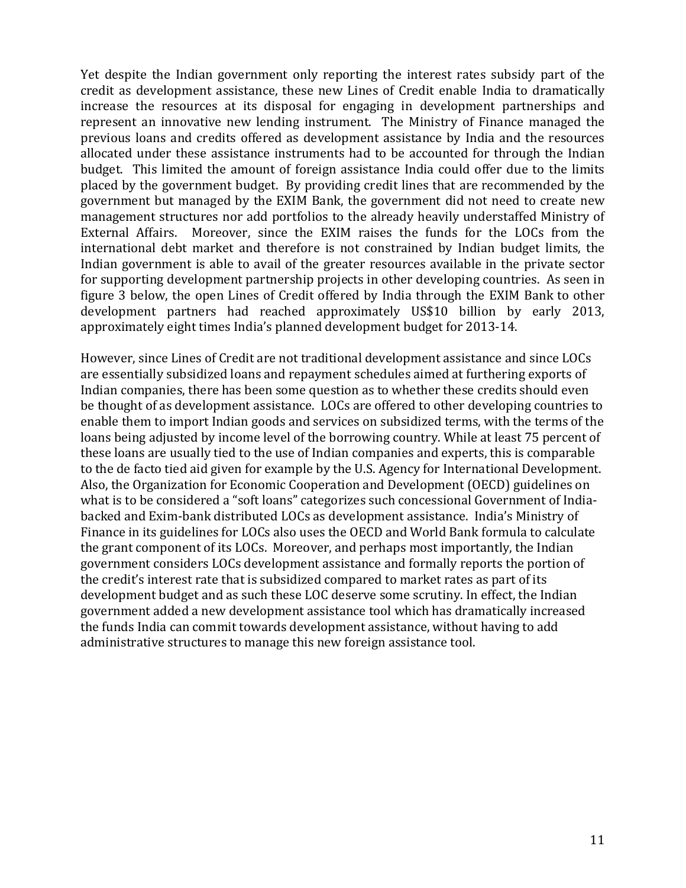Yet despite the Indian government only reporting the interest rates subsidy part of the credit as development assistance, these new Lines of Credit enable India to dramatically increase the resources at its disposal for engaging in development partnerships and represent an innovative new lending instrument. The Ministry of Finance managed the previous loans and credits offered as development assistance by India and the resources allocated under these assistance instruments had to be accounted for through the Indian budget. This limited the amount of foreign assistance India could offer due to the limits placed by the government budget. By providing credit lines that are recommended by the government but managed by the EXIM Bank, the government did not need to create new management structures nor add portfolios to the already heavily understaffed Ministry of External Affairs. Moreover, since the EXIM raises the funds for the LOCs from the international debt market and therefore is not constrained by Indian budget limits, the Indian government is able to avail of the greater resources available in the private sector for supporting development partnership projects in other developing countries. As seen in figure 3 below, the open Lines of Credit offered by India through the EXIM Bank to other development partners had reached approximately US\$10 billion by early 2013, approximately eight times India's planned development budget for 2013-14.

However, since Lines of Credit are not traditional development assistance and since LOCs are essentially subsidized loans and repayment schedules aimed at furthering exports of Indian companies, there has been some question as to whether these credits should even be thought of as development assistance. LOCs are offered to other developing countries to enable them to import Indian goods and services on subsidized terms, with the terms of the loans being adjusted by income level of the borrowing country. While at least 75 percent of these loans are usually tied to the use of Indian companies and experts, this is comparable to the de facto tied aid given for example by the U.S. Agency for International Development. Also, the Organization for Economic Cooperation and Development (OECD) guidelines on what is to be considered a "soft loans" categorizes such concessional Government of Indiabacked and Exim-bank distributed LOCs as development assistance. India's Ministry of Finance in its guidelines for LOCs also uses the OECD and World Bank formula to calculate the grant component of its LOCs. Moreover, and perhaps most importantly, the Indian government considers LOCs development assistance and formally reports the portion of the credit's interest rate that is subsidized compared to market rates as part of its development budget and as such these LOC deserve some scrutiny. In effect, the Indian government added a new development assistance tool which has dramatically increased the funds India can commit towards development assistance, without having to add administrative structures to manage this new foreign assistance tool.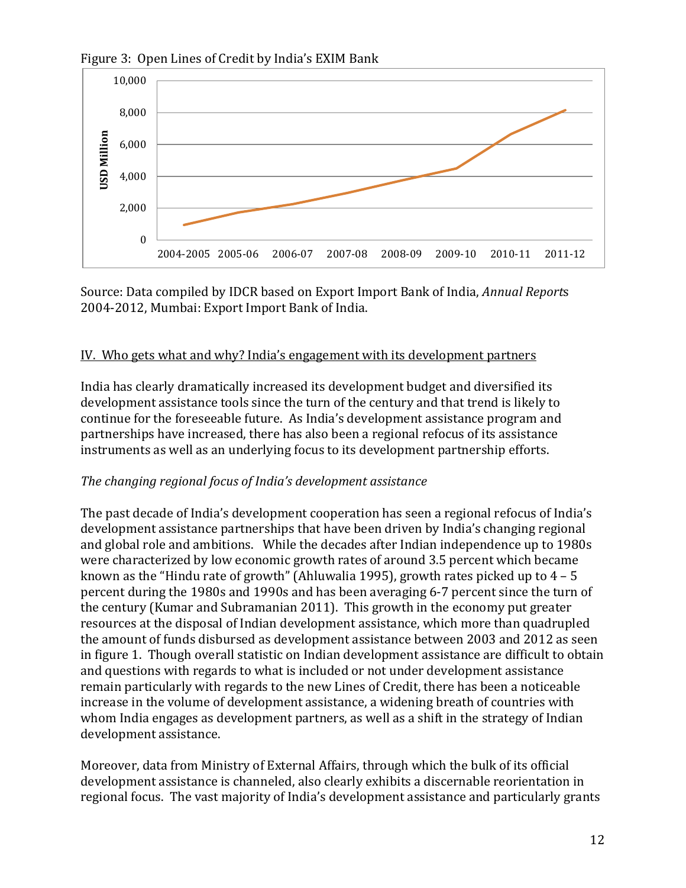

Figure 3: Open Lines of Credit by India's EXIM Bank

Source: Data compiled by IDCR based on Export Import Bank of India, *Annual Report*s 2004-2012, Mumbai: Export Import Bank of India.

## IV. Who gets what and why? India's engagement with its development partners

India has clearly dramatically increased its development budget and diversified its development assistance tools since the turn of the century and that trend is likely to continue for the foreseeable future. As India's development assistance program and partnerships have increased, there has also been a regional refocus of its assistance instruments as well as an underlying focus to its development partnership efforts.

# *The changing regional focus of India's development assistance*

The past decade of India's development cooperation has seen a regional refocus of India's development assistance partnerships that have been driven by India's changing regional and global role and ambitions. While the decades after Indian independence up to 1980s were characterized by low economic growth rates of around 3.5 percent which became known as the "Hindu rate of growth" (Ahluwalia 1995), growth rates picked up to 4 – 5 percent during the 1980s and 1990s and has been averaging 6-7 percent since the turn of the century (Kumar and Subramanian 2011). This growth in the economy put greater resources at the disposal of Indian development assistance, which more than quadrupled the amount of funds disbursed as development assistance between 2003 and 2012 as seen in figure 1. Though overall statistic on Indian development assistance are difficult to obtain and questions with regards to what is included or not under development assistance remain particularly with regards to the new Lines of Credit, there has been a noticeable increase in the volume of development assistance, a widening breath of countries with whom India engages as development partners, as well as a shift in the strategy of Indian development assistance.

Moreover, data from Ministry of External Affairs, through which the bulk of its official development assistance is channeled, also clearly exhibits a discernable reorientation in regional focus. The vast majority of India's development assistance and particularly grants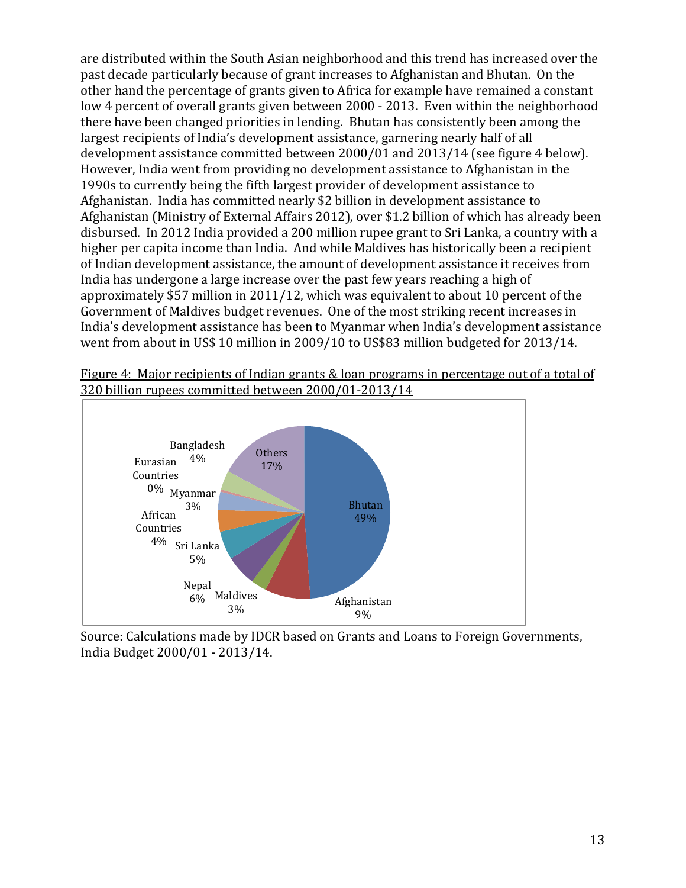are distributed within the South Asian neighborhood and this trend has increased over the past decade particularly because of grant increases to Afghanistan and Bhutan. On the other hand the percentage of grants given to Africa for example have remained a constant low 4 percent of overall grants given between 2000 - 2013. Even within the neighborhood there have been changed priorities in lending. Bhutan has consistently been among the largest recipients of India's development assistance, garnering nearly half of all development assistance committed between 2000/01 and 2013/14 (see figure 4 below). However, India went from providing no development assistance to Afghanistan in the 1990s to currently being the fifth largest provider of development assistance to Afghanistan. India has committed nearly \$2 billion in development assistance to Afghanistan (Ministry of External Affairs 2012), over \$1.2 billion of which has already been disbursed. In 2012 India provided a 200 million rupee grant to Sri Lanka, a country with a higher per capita income than India. And while Maldives has historically been a recipient of Indian development assistance, the amount of development assistance it receives from India has undergone a large increase over the past few years reaching a high of approximately \$57 million in 2011/12, which was equivalent to about 10 percent of the Government of Maldives budget revenues. One of the most striking recent increases in India's development assistance has been to Myanmar when India's development assistance went from about in US\$ 10 million in 2009/10 to US\$83 million budgeted for 2013/14.





Source: Calculations made by IDCR based on Grants and Loans to Foreign Governments, India Budget 2000/01 - 2013/14.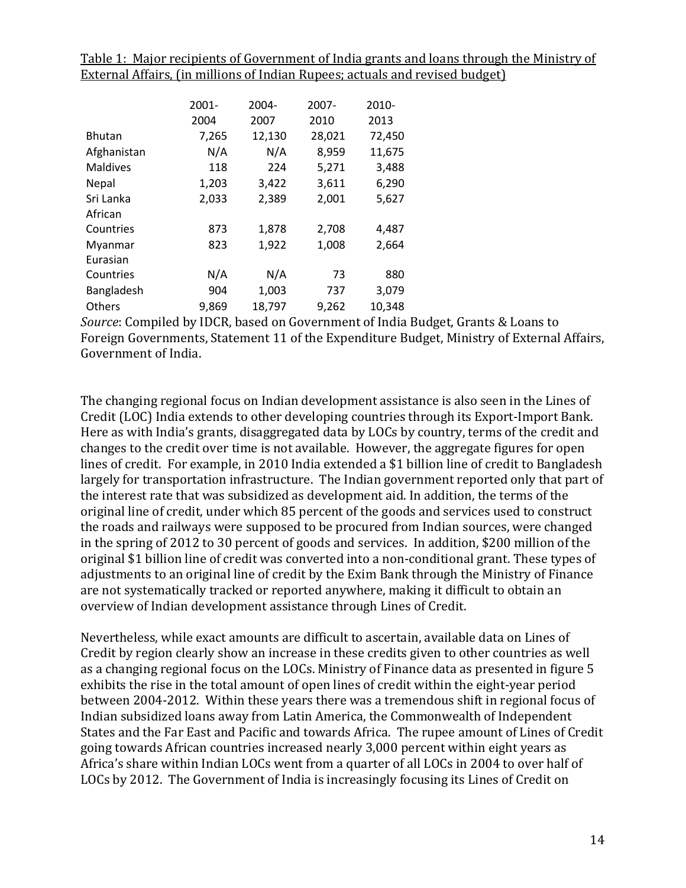Table 1: Major recipients of Government of India grants and loans through the Ministry of External Affairs, (in millions of Indian Rupees; actuals and revised budget)

|               | $2001 -$ | 2004-  | $2007 -$ | 2010-  |
|---------------|----------|--------|----------|--------|
|               | 2004     | 2007   | 2010     | 2013   |
| <b>Bhutan</b> | 7,265    | 12,130 | 28,021   | 72,450 |
| Afghanistan   | N/A      | N/A    | 8,959    | 11,675 |
| Maldives      | 118      | 224    | 5,271    | 3,488  |
| Nepal         | 1,203    | 3,422  | 3,611    | 6,290  |
| Sri Lanka     | 2,033    | 2,389  | 2,001    | 5,627  |
| African       |          |        |          |        |
| Countries     | 873      | 1,878  | 2,708    | 4,487  |
| Myanmar       | 823      | 1,922  | 1,008    | 2,664  |
| Eurasian      |          |        |          |        |
| Countries     | N/A      | N/A    | 73       | 880    |
| Bangladesh    | 904      | 1,003  | 737      | 3,079  |
| Others        | 9,869    | 18,797 | 9,262    | 10,348 |

*Source*: Compiled by IDCR, based on Government of India Budget, Grants & Loans to Foreign Governments, Statement 11 of the Expenditure Budget, Ministry of External Affairs, Government of India.

The changing regional focus on Indian development assistance is also seen in the Lines of Credit (LOC) India extends to other developing countries through its Export-Import Bank. Here as with India's grants, disaggregated data by LOCs by country, terms of the credit and changes to the credit over time is not available. However, the aggregate figures for open lines of credit. For example, in 2010 India extended a \$1 billion line of credit to Bangladesh largely for transportation infrastructure. The Indian government reported only that part of the interest rate that was subsidized as development aid. In addition, the terms of the original line of credit, under which 85 percent of the goods and services used to construct the roads and railways were supposed to be procured from Indian sources, were changed in the spring of 2012 to 30 percent of goods and services. In addition, \$200 million of the original \$1 billion line of credit was converted into a non-conditional grant. These types of adjustments to an original line of credit by the Exim Bank through the Ministry of Finance are not systematically tracked or reported anywhere, making it difficult to obtain an overview of Indian development assistance through Lines of Credit.

Nevertheless, while exact amounts are difficult to ascertain, available data on Lines of Credit by region clearly show an increase in these credits given to other countries as well as a changing regional focus on the LOCs. Ministry of Finance data as presented in figure 5 exhibits the rise in the total amount of open lines of credit within the eight-year period between 2004-2012. Within these years there was a tremendous shift in regional focus of Indian subsidized loans away from Latin America, the Commonwealth of Independent States and the Far East and Pacific and towards Africa. The rupee amount of Lines of Credit going towards African countries increased nearly 3,000 percent within eight years as Africa's share within Indian LOCs went from a quarter of all LOCs in 2004 to over half of LOCs by 2012. The Government of India is increasingly focusing its Lines of Credit on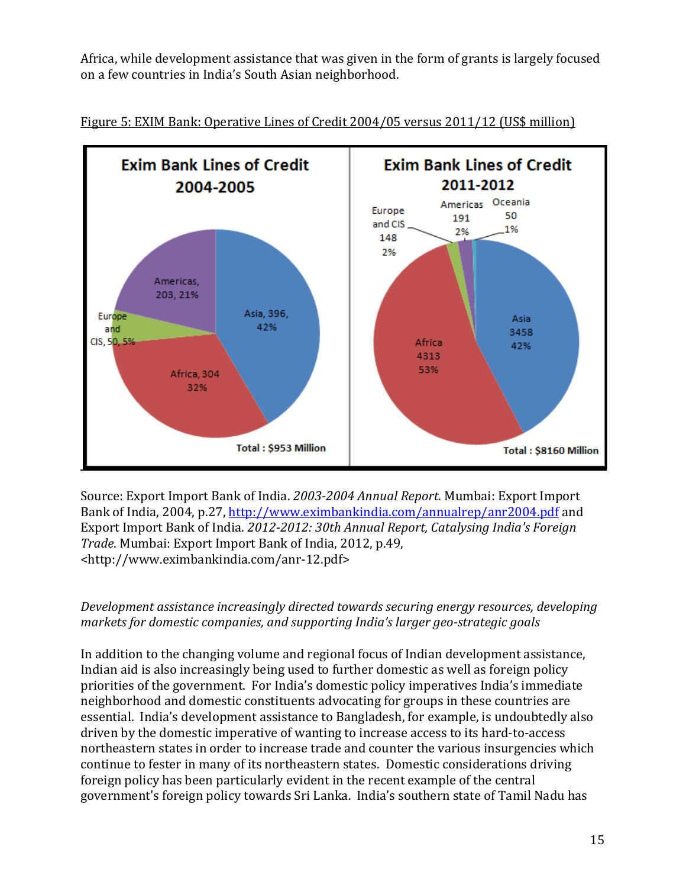Africa, while development assistance that was given in the form of grants is largely focused on a few countries in India's South Asian neighborhood.





Source: Export Import Bank of India. *2003-2004 Annual Report*. Mumbai: Export Import Bank of India, 2004, p.27,<http://www.eximbankindia.com/annualrep/anr2004.pdf> and Export Import Bank of India. *2012-2012: 30th Annual Report, Catalysing India's Foreign Trade*. Mumbai: Export Import Bank of India, 2012, p.49, <http://www.eximbankindia.com/anr-12.pdf>

## *Development assistance increasingly directed towards securing energy resources, developing markets for domestic companies, and supporting India's larger geo-strategic goals*

In addition to the changing volume and regional focus of Indian development assistance, Indian aid is also increasingly being used to further domestic as well as foreign policy priorities of the government. For India's domestic policy imperatives India's immediate neighborhood and domestic constituents advocating for groups in these countries are essential. India's development assistance to Bangladesh, for example, is undoubtedly also driven by the domestic imperative of wanting to increase access to its hard-to-access northeastern states in order to increase trade and counter the various insurgencies which continue to fester in many of its northeastern states. Domestic considerations driving foreign policy has been particularly evident in the recent example of the central government's foreign policy towards Sri Lanka. India's southern state of Tamil Nadu has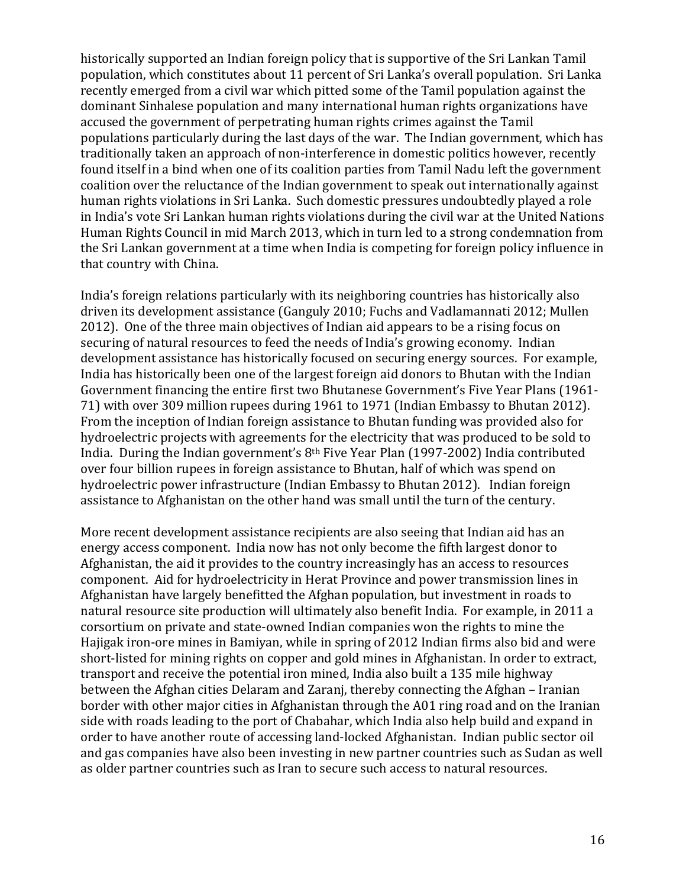historically supported an Indian foreign policy that is supportive of the Sri Lankan Tamil population, which constitutes about 11 percent of Sri Lanka's overall population. Sri Lanka recently emerged from a civil war which pitted some of the Tamil population against the dominant Sinhalese population and many international human rights organizations have accused the government of perpetrating human rights crimes against the Tamil populations particularly during the last days of the war. The Indian government, which has traditionally taken an approach of non-interference in domestic politics however, recently found itself in a bind when one of its coalition parties from Tamil Nadu left the government coalition over the reluctance of the Indian government to speak out internationally against human rights violations in Sri Lanka. Such domestic pressures undoubtedly played a role in India's vote Sri Lankan human rights violations during the civil war at the United Nations Human Rights Council in mid March 2013, which in turn led to a strong condemnation from the Sri Lankan government at a time when India is competing for foreign policy influence in that country with China.

India's foreign relations particularly with its neighboring countries has historically also driven its development assistance (Ganguly 2010; Fuchs and Vadlamannati 2012; Mullen 2012). One of the three main objectives of Indian aid appears to be a rising focus on securing of natural resources to feed the needs of India's growing economy. Indian development assistance has historically focused on securing energy sources. For example, India has historically been one of the largest foreign aid donors to Bhutan with the Indian Government financing the entire first two Bhutanese Government's Five Year Plans (1961- 71) with over 309 million rupees during 1961 to 1971 (Indian Embassy to Bhutan 2012). From the inception of Indian foreign assistance to Bhutan funding was provided also for hydroelectric projects with agreements for the electricity that was produced to be sold to India. During the Indian government's 8th Five Year Plan (1997-2002) India contributed over four billion rupees in foreign assistance to Bhutan, half of which was spend on hydroelectric power infrastructure (Indian Embassy to Bhutan 2012). Indian foreign assistance to Afghanistan on the other hand was small until the turn of the century.

More recent development assistance recipients are also seeing that Indian aid has an energy access component. India now has not only become the fifth largest donor to Afghanistan, the aid it provides to the country increasingly has an access to resources component. Aid for hydroelectricity in Herat Province and power transmission lines in Afghanistan have largely benefitted the Afghan population, but investment in roads to natural resource site production will ultimately also benefit India. For example, in 2011 a corsortium on private and state-owned Indian companies won the rights to mine the Hajigak iron-ore mines in Bamiyan, while in spring of 2012 Indian firms also bid and were short-listed for mining rights on copper and gold mines in Afghanistan. In order to extract, transport and receive the potential iron mined, India also built a 135 mile highway between the Afghan cities Delaram and Zaranj, thereby connecting the Afghan – Iranian border with other major cities in Afghanistan through the A01 ring road and on the Iranian side with roads leading to the port of Chabahar, which India also help build and expand in order to have another route of accessing land-locked Afghanistan. Indian public sector oil and gas companies have also been investing in new partner countries such as Sudan as well as older partner countries such as Iran to secure such access to natural resources.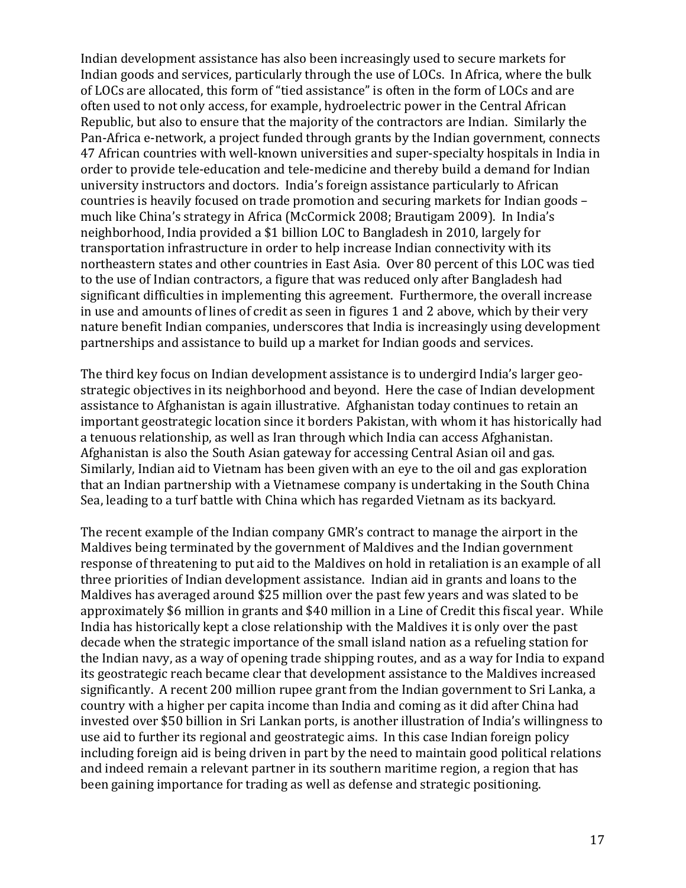Indian development assistance has also been increasingly used to secure markets for Indian goods and services, particularly through the use of LOCs. In Africa, where the bulk of LOCs are allocated, this form of "tied assistance" is often in the form of LOCs and are often used to not only access, for example, hydroelectric power in the Central African Republic, but also to ensure that the majority of the contractors are Indian. Similarly the Pan-Africa e-network, a project funded through grants by the Indian government, connects 47 African countries with well-known universities and super-specialty hospitals in India in order to provide tele-education and tele-medicine and thereby build a demand for Indian university instructors and doctors. India's foreign assistance particularly to African countries is heavily focused on trade promotion and securing markets for Indian goods – much like China's strategy in Africa (McCormick 2008; Brautigam 2009). In India's neighborhood, India provided a \$1 billion LOC to Bangladesh in 2010, largely for transportation infrastructure in order to help increase Indian connectivity with its northeastern states and other countries in East Asia. Over 80 percent of this LOC was tied to the use of Indian contractors, a figure that was reduced only after Bangladesh had significant difficulties in implementing this agreement. Furthermore, the overall increase in use and amounts of lines of credit as seen in figures 1 and 2 above, which by their very nature benefit Indian companies, underscores that India is increasingly using development partnerships and assistance to build up a market for Indian goods and services.

The third key focus on Indian development assistance is to undergird India's larger geostrategic objectives in its neighborhood and beyond. Here the case of Indian development assistance to Afghanistan is again illustrative. Afghanistan today continues to retain an important geostrategic location since it borders Pakistan, with whom it has historically had a tenuous relationship, as well as Iran through which India can access Afghanistan. Afghanistan is also the South Asian gateway for accessing Central Asian oil and gas. Similarly, Indian aid to Vietnam has been given with an eye to the oil and gas exploration that an Indian partnership with a Vietnamese company is undertaking in the South China Sea, leading to a turf battle with China which has regarded Vietnam as its backyard.

The recent example of the Indian company GMR's contract to manage the airport in the Maldives being terminated by the government of Maldives and the Indian government response of threatening to put aid to the Maldives on hold in retaliation is an example of all three priorities of Indian development assistance. Indian aid in grants and loans to the Maldives has averaged around \$25 million over the past few years and was slated to be approximately \$6 million in grants and \$40 million in a Line of Credit this fiscal year. While India has historically kept a close relationship with the Maldives it is only over the past decade when the strategic importance of the small island nation as a refueling station for the Indian navy, as a way of opening trade shipping routes, and as a way for India to expand its geostrategic reach became clear that development assistance to the Maldives increased significantly. A recent 200 million rupee grant from the Indian government to Sri Lanka, a country with a higher per capita income than India and coming as it did after China had invested over \$50 billion in Sri Lankan ports, is another illustration of India's willingness to use aid to further its regional and geostrategic aims. In this case Indian foreign policy including foreign aid is being driven in part by the need to maintain good political relations and indeed remain a relevant partner in its southern maritime region, a region that has been gaining importance for trading as well as defense and strategic positioning.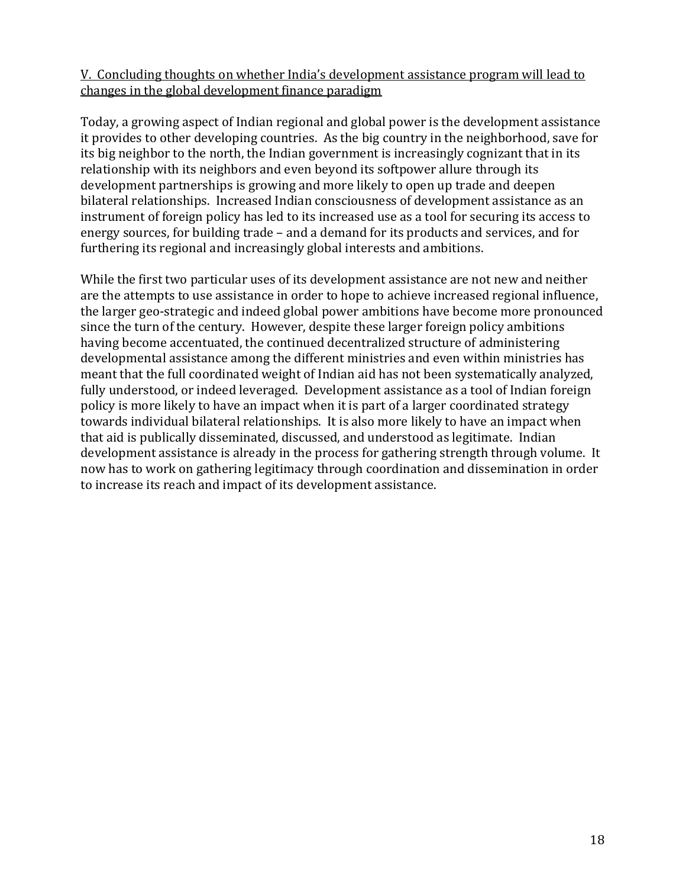## V. Concluding thoughts on whether India's development assistance program will lead to changes in the global development finance paradigm

Today, a growing aspect of Indian regional and global power is the development assistance it provides to other developing countries. As the big country in the neighborhood, save for its big neighbor to the north, the Indian government is increasingly cognizant that in its relationship with its neighbors and even beyond its softpower allure through its development partnerships is growing and more likely to open up trade and deepen bilateral relationships. Increased Indian consciousness of development assistance as an instrument of foreign policy has led to its increased use as a tool for securing its access to energy sources, for building trade – and a demand for its products and services, and for furthering its regional and increasingly global interests and ambitions.

While the first two particular uses of its development assistance are not new and neither are the attempts to use assistance in order to hope to achieve increased regional influence, the larger geo-strategic and indeed global power ambitions have become more pronounced since the turn of the century. However, despite these larger foreign policy ambitions having become accentuated, the continued decentralized structure of administering developmental assistance among the different ministries and even within ministries has meant that the full coordinated weight of Indian aid has not been systematically analyzed, fully understood, or indeed leveraged. Development assistance as a tool of Indian foreign policy is more likely to have an impact when it is part of a larger coordinated strategy towards individual bilateral relationships. It is also more likely to have an impact when that aid is publically disseminated, discussed, and understood as legitimate. Indian development assistance is already in the process for gathering strength through volume. It now has to work on gathering legitimacy through coordination and dissemination in order to increase its reach and impact of its development assistance.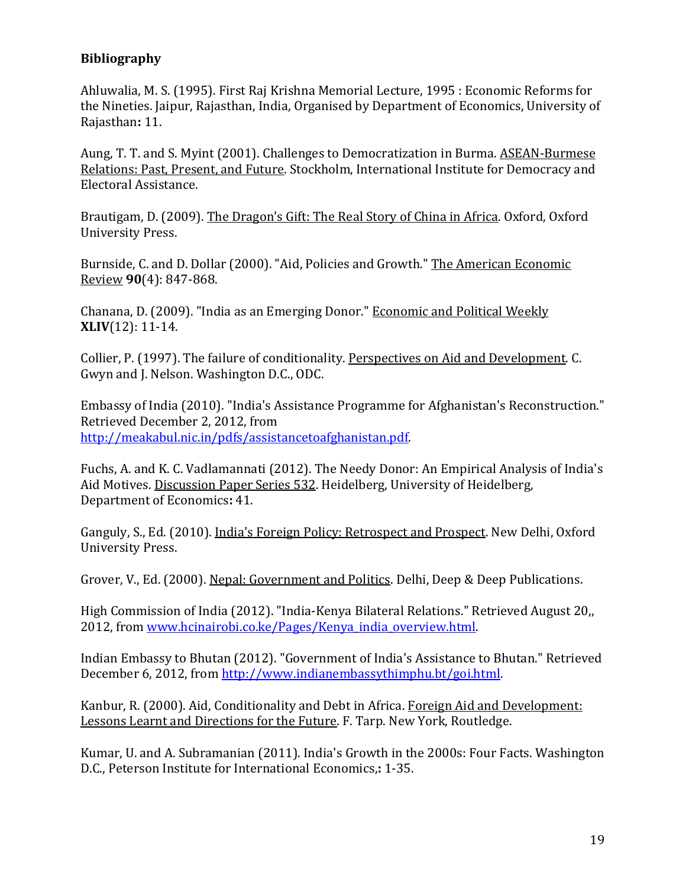## **Bibliography**

Ahluwalia, M. S. (1995). First Raj Krishna Memorial Lecture, 1995 : Economic Reforms for the Nineties. Jaipur, Rajasthan, India, Organised by Department of Economics, University of Rajasthan**:** 11.

Aung, T. T. and S. Myint (2001). Challenges to Democratization in Burma. ASEAN-Burmese Relations: Past, Present, and Future. Stockholm, International Institute for Democracy and Electoral Assistance.

Brautigam, D. (2009). The Dragon's Gift: The Real Story of China in Africa. Oxford, Oxford University Press.

Burnside, C. and D. Dollar (2000). "Aid, Policies and Growth." The American Economic Review **90**(4): 847-868.

Chanana, D. (2009). "India as an Emerging Donor." Economic and Political Weekly **XLIV**(12): 11-14.

Collier, P. (1997). The failure of conditionality. Perspectives on Aid and Development. C. Gwyn and J. Nelson. Washington D.C., ODC.

Embassy of India (2010). "India's Assistance Programme for Afghanistan's Reconstruction." Retrieved December 2, 2012, from [http://meakabul.nic.in/pdfs/assistancetoafghanistan.pdf.](http://meakabul.nic.in/pdfs/assistancetoafghanistan.pdf)

Fuchs, A. and K. C. Vadlamannati (2012). The Needy Donor: An Empirical Analysis of India's Aid Motives. Discussion Paper Series 532. Heidelberg, University of Heidelberg, Department of Economics**:** 41.

Ganguly, S., Ed. (2010). India's Foreign Policy: Retrospect and Prospect. New Delhi, Oxford University Press.

Grover, V., Ed. (2000). Nepal: Government and Politics. Delhi, Deep & Deep Publications.

High Commission of India (2012). "India-Kenya Bilateral Relations." Retrieved August 20,, 2012, from [www.hcinairobi.co.ke/Pages/Kenya\\_india\\_overview.html.](http://www.hcinairobi.co.ke/Pages/Kenya_india_overview.html)

Indian Embassy to Bhutan (2012). "Government of India's Assistance to Bhutan." Retrieved December 6, 2012, from [http://www.indianembassythimphu.bt/goi.html.](http://www.indianembassythimphu.bt/goi.html)

Kanbur, R. (2000). Aid, Conditionality and Debt in Africa. Foreign Aid and Development: Lessons Learnt and Directions for the Future. F. Tarp. New York, Routledge.

Kumar, U. and A. Subramanian (2011). India's Growth in the 2000s: Four Facts. Washington D.C., Peterson Institute for International Economics,**:** 1-35.